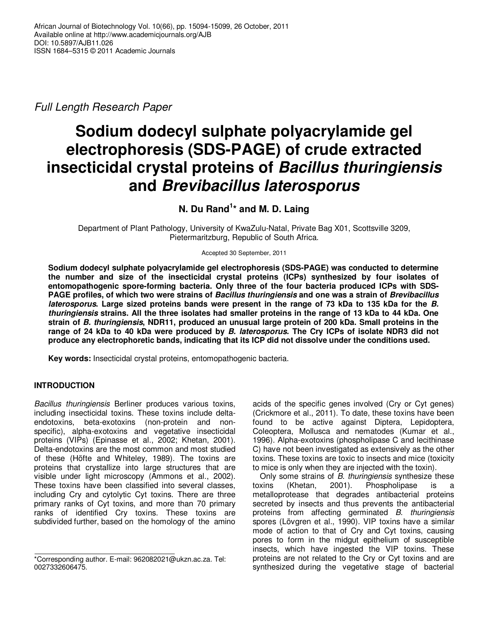Full Length Research Paper

# **Sodium dodecyl sulphate polyacrylamide gel electrophoresis (SDS-PAGE) of crude extracted insecticidal crystal proteins of Bacillus thuringiensis and Brevibacillus laterosporus**

**N. Du Rand<sup>1</sup> \* and M. D. Laing** 

Department of Plant Pathology, University of KwaZulu-Natal, Private Bag X01, Scottsville 3209, Pietermaritzburg, Republic of South Africa.

Accepted 30 September, 2011

**Sodium dodecyl sulphate polyacrylamide gel electrophoresis (SDS-PAGE) was conducted to determine the number and size of the insecticidal crystal proteins (ICPs) synthesized by four isolates of entomopathogenic spore-forming bacteria. Only three of the four bacteria produced ICPs with SDS-PAGE profiles, of which two were strains of Bacillus thuringiensis and one was a strain of Brevibacillus laterosporus. Large sized proteins bands were present in the range of 73 kDa to 135 kDa for the B. thuringiensis strains. All the three isolates had smaller proteins in the range of 13 kDa to 44 kDa. One strain of B. thuringiensis, NDR11, produced an unusual large protein of 200 kDa. Small proteins in the range of 24 kDa to 40 kDa were produced by B. laterosporus. The Cry ICPs of isolate NDR3 did not produce any electrophoretic bands, indicating that its ICP did not dissolve under the conditions used.**

**Key words:** Insecticidal crystal proteins, entomopathogenic bacteria.

# **INTRODUCTION**

Bacillus thuringiensis Berliner produces various toxins, including insecticidal toxins. These toxins include deltaendotoxins, beta-exotoxins (non-protein and nonspecific), alpha-exotoxins and vegetative insecticidal proteins (VIPs) (Epinasse et al., 2002; Khetan, 2001). Delta-endotoxins are the most common and most studied of these (Höfte and Whiteley, 1989). The toxins are proteins that crystallize into large structures that are visible under light microscopy (Ammons et al., 2002). These toxins have been classified into several classes, including Cry and cytolytic Cyt toxins. There are three primary ranks of Cyt toxins, and more than 70 primary ranks of identified Cry toxins. These toxins are subdivided further, based on the homology of the amino

acids of the specific genes involved (Cry or Cyt genes) (Crickmore et al., 2011). To date, these toxins have been found to be active against Diptera, Lepidoptera, Coleoptera, Mollusca and nematodes (Kumar et al., 1996). Alpha-exotoxins (phospholipase C and lecithinase C) have not been investigated as extensively as the other toxins. These toxins are toxic to insects and mice (toxicity to mice is only when they are injected with the toxin).

Only some strains of B. thuringiensis synthesize these toxins (Khetan, 2001). Phospholipase is a metalloprotease that degrades antibacterial proteins secreted by insects and thus prevents the antibacterial proteins from affecting germinated B. thuringiensis spores (Lövgren et al., 1990). VIP toxins have a similar mode of action to that of Cry and Cyt toxins, causing pores to form in the midgut epithelium of susceptible insects, which have ingested the VIP toxins. These proteins are not related to the Cry or Cyt toxins and are synthesized during the vegetative stage of bacterial

<sup>\*</sup>Corresponding author. E-mail: 962082021@ukzn.ac.za. Tel: 0027332606475.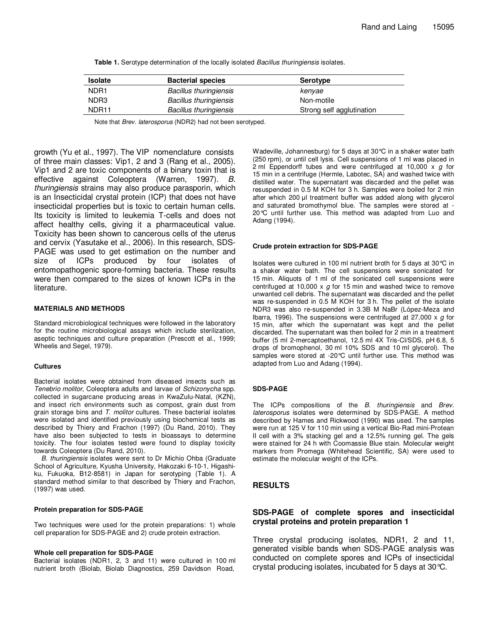| <b>Isolate</b>    | <b>Bacterial species</b>      | Serotype                  |
|-------------------|-------------------------------|---------------------------|
| NDR <sub>1</sub>  | <b>Bacillus thuringiensis</b> | kenyae                    |
| NDR <sub>3</sub>  | <b>Bacillus thuringiensis</b> | Non-motile                |
| NDR <sub>11</sub> | <b>Bacillus thuringiensis</b> | Strong self agglutination |

**Table 1.** Serotype determination of the locally isolated Bacillus thuringiensis isolates.

Note that Brev. laterosporus (NDR2) had not been serotyped.

growth (Yu et al., 1997). The VIP nomenclature consists of three main classes: Vip1, 2 and 3 (Rang et al., 2005). Vip1 and 2 are toxic components of a binary toxin that is effective against Coleoptera (Warren, 1997). B. thuringiensis strains may also produce parasporin, which is an Insecticidal crystal protein (ICP) that does not have insecticidal properties but is toxic to certain human cells. Its toxicity is limited to leukemia T-cells and does not affect healthy cells, giving it a pharmaceutical value. Toxicity has been shown to cancerous cells of the uterus and cervix (Yasutake et al., 2006). In this research, SDS-PAGE was used to get estimation on the number and size of ICPs produced by four isolates of entomopathogenic spore-forming bacteria. These results were then compared to the sizes of known ICPs in the literature.

#### **MATERIALS AND METHODS**

Standard microbiological techniques were followed in the laboratory for the routine microbiological assays which include sterilization, aseptic techniques and culture preparation (Prescott et al., 1999; Wheelis and Segel, 1979).

#### **Cultures**

Bacterial isolates were obtained from diseased insects such as Tenebrio molitor, Coleoptera adults and larvae of Schizonycha spp. collected in sugarcane producing areas in KwaZulu-Natal, (KZN), and insect rich environments such as compost, grain dust from grain storage bins and T. molitor cultures. These bacterial isolates were isolated and identified previously using biochemical tests as described by Thiery and Frachon (1997) (Du Rand, 2010). They have also been subjected to tests in bioassays to determine toxicity. The four isolates tested were found to display toxicity towards Coleoptera (Du Rand, 2010).

B. thuringiensis isolates were sent to Dr Michio Ohba (Graduate School of Agriculture, Kyusha University, Hakozaki 6-10-1, Higashiku, Fukuoka, B12-8581) in Japan for serotyping (Table 1). A standard method similar to that described by Thiery and Frachon, (1997) was used.

#### **Protein preparation for SDS-PAGE**

Two techniques were used for the protein preparations: 1) whole cell preparation for SDS-PAGE and 2) crude protein extraction.

#### **Whole cell preparation for SDS-PAGE**

Bacterial isolates (NDR1, 2, 3 and 11) were cultured in 100 ml nutrient broth (Biolab, Biolab Diagnostics, 259 Davidson Road,

Wadeville, Johannesburg) for 5 days at 30°C in a shaker water bath (250 rpm), or until cell lysis. Cell suspensions of 1 ml was placed in 2 ml Eppendorff tubes and were centrifuged at 10,000  $\times$  g for 15 min in a centrifuge (Hermle, Labotec, SA) and washed twice with distilled water. The supernatant was discarded and the pellet was resuspended in 0.5 M KOH for 3 h. Samples were boiled for 2 min after which 200 µl treatment buffer was added along with glycerol and saturated bromothymol blue. The samples were stored at - 20°C until further use. This method was adapted from Luo and Adang (1994).

#### **Crude protein extraction for SDS-PAGE**

Isolates were cultured in 100 ml nutrient broth for 5 days at 30°C in a shaker water bath. The cell suspensions were sonicated for 15 min. Aliquots of 1 ml of the sonicated cell suspensions were centrifuged at 10,000  $\times$  g for 15 min and washed twice to remove unwanted cell debris. The supernatant was discarded and the pellet was re-suspended in 0.5 M KOH for 3 h. The pellet of the isolate NDR3 was also re-suspended in 3.3B M NaBr (López-Meza and Ibarra, 1996). The suspensions were centrifuged at 27,000 x  $q$  for 15 min, after which the supernatant was kept and the pellet discarded. The supernatant was then boiled for 2 min in a treatment buffer (5 ml 2-mercaptoethanol, 12.5 ml 4X Tris-Cl/SDS, pH 6.8, 5 drops of bromophenol, 30 ml 10% SDS and 10 ml glycerol). The samples were stored at -20°C until further use. This method was adapted from Luo and Adang (1994).

#### **SDS-PAGE**

The ICPs compositions of the B. thuringiensis and Brev. laterosporus isolates were determined by SDS-PAGE. A method described by Hames and Rickwood (1990) was used. The samples were run at 125 V for 110 min using a vertical Bio-Rad mini-Protean II cell with a 3% stacking gel and a 12.5% running gel. The gels were stained for 24 h with Coomassie Blue stain. Molecular weight markers from Promega (Whitehead Scientific, SA) were used to estimate the molecular weight of the ICPs.

#### **RESULTS**

#### **SDS-PAGE of complete spores and insecticidal crystal proteins and protein preparation 1**

Three crystal producing isolates, NDR1, 2 and 11, generated visible bands when SDS-PAGE analysis was conducted on complete spores and ICPs of insecticidal crystal producing isolates, incubated for 5 days at 30°C.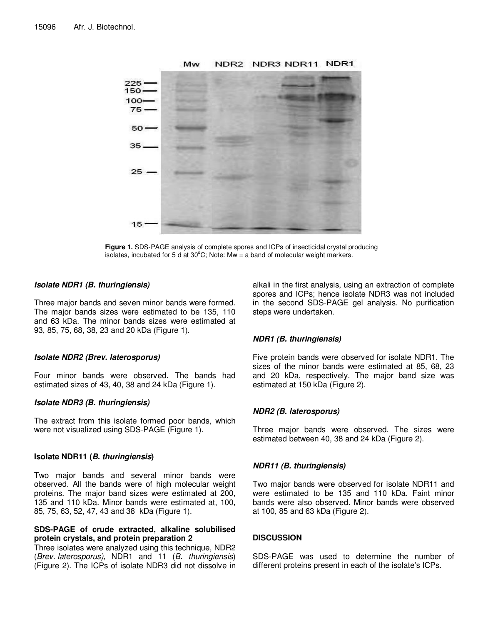

**Figure 1.** SDS-PAGE analysis of complete spores and ICPs of insecticidal crystal producing isolates, incubated for 5 d at  $30^{\circ}$ C; Note: Mw = a band of molecular weight markers.

#### **Isolate NDR1 (B. thuringiensis)**

Three major bands and seven minor bands were formed. The major bands sizes were estimated to be 135, 110 and 63 kDa. The minor bands sizes were estimated at 93, 85, 75, 68, 38, 23 and 20 kDa (Figure 1).

# **Isolate NDR2 (Brev. laterosporus)**

Four minor bands were observed. The bands had estimated sizes of 43, 40, 38 and 24 kDa (Figure 1).

# **Isolate NDR3 (B. thuringiensis)**

The extract from this isolate formed poor bands, which were not visualized using SDS-PAGE (Figure 1).

# **Isolate NDR11 (B. thuringiensis)**

Two major bands and several minor bands were observed. All the bands were of high molecular weight proteins. The major band sizes were estimated at 200, 135 and 110 kDa. Minor bands were estimated at, 100, 85, 75, 63, 52, 47, 43 and 38 kDa (Figure 1).

### **SDS-PAGE of crude extracted, alkaline solubilised protein crystals, and protein preparation 2**

Three isolates were analyzed using this technique, NDR2 (Brev. laterosporus), NDR1 and 11 (B. thuringiensis) (Figure 2). The ICPs of isolate NDR3 did not dissolve in

alkali in the first analysis, using an extraction of complete spores and ICPs; hence isolate NDR3 was not included in the second SDS-PAGE gel analysis. No purification steps were undertaken.

# **NDR1 (B. thuringiensis)**

Five protein bands were observed for isolate NDR1. The sizes of the minor bands were estimated at 85, 68, 23 and 20 kDa, respectively. The major band size was estimated at 150 kDa (Figure 2).

# **NDR2 (B. laterosporus)**

Three major bands were observed. The sizes were estimated between 40, 38 and 24 kDa (Figure 2).

# **NDR11 (B. thuringiensis)**

Two major bands were observed for isolate NDR11 and were estimated to be 135 and 110 kDa. Faint minor bands were also observed. Minor bands were observed at 100, 85 and 63 kDa (Figure 2).

# **DISCUSSION**

SDS-PAGE was used to determine the number of different proteins present in each of the isolate's ICPs.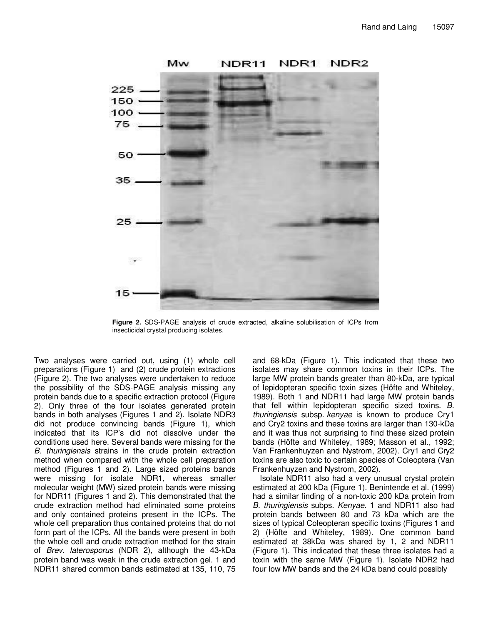

Mw NDR1 NDR<sub>2</sub> NDR11

**Figure 2.** SDS-PAGE analysis of crude extracted, alkaline solubilisation of ICPs from insecticidal crystal producing isolates.

Two analyses were carried out, using (1) whole cell preparations (Figure 1) and (2) crude protein extractions (Figure 2). The two analyses were undertaken to reduce the possibility of the SDS-PAGE analysis missing any protein bands due to a specific extraction protocol (Figure 2). Only three of the four isolates generated protein bands in both analyses (Figures 1 and 2). Isolate NDR3 did not produce convincing bands (Figure 1), which indicated that its ICP's did not dissolve under the conditions used here. Several bands were missing for the B. thuringiensis strains in the crude protein extraction method when compared with the whole cell preparation method (Figures 1 and 2). Large sized proteins bands were missing for isolate NDR1, whereas smaller molecular weight (MW) sized protein bands were missing for NDR11 (Figures 1 and 2). This demonstrated that the crude extraction method had eliminated some proteins and only contained proteins present in the ICPs. The whole cell preparation thus contained proteins that do not form part of the ICPs. All the bands were present in both the whole cell and crude extraction method for the strain of Brev. laterosporus (NDR 2), although the 43-kDa protein band was weak in the crude extraction gel. 1 and NDR11 shared common bands estimated at 135, 110, 75 and 68-kDa (Figure 1). This indicated that these two isolates may share common toxins in their ICPs. The large MW protein bands greater than 80-kDa, are typical of lepidopteran specific toxin sizes (Höfte and Whiteley, 1989). Both 1 and NDR11 had large MW protein bands that fell within lepidopteran specific sized toxins. B. thuringiensis subsp. kenyae is known to produce Cry1 and Cry2 toxins and these toxins are larger than 130-kDa and it was thus not surprising to find these sized protein bands (Höfte and Whiteley, 1989; Masson et al., 1992; Van Frankenhuyzen and Nystrom, 2002). Cry1 and Cry2 toxins are also toxic to certain species of Coleoptera (Van Frankenhuyzen and Nystrom, 2002).

Isolate NDR11 also had a very unusual crystal protein estimated at 200 kDa (Figure 1). Benintende et al. (1999) had a similar finding of a non-toxic 200 kDa protein from B. thuringiensis subps. Kenyae. 1 and NDR11 also had protein bands between 80 and 73 kDa which are the sizes of typical Coleopteran specific toxins (Figures 1 and 2) (Höfte and Whiteley, 1989). One common band estimated at 38kDa was shared by 1, 2 and NDR11 (Figure 1). This indicated that these three isolates had a toxin with the same MW (Figure 1). Isolate NDR2 had four low MW bands and the 24 kDa band could possibly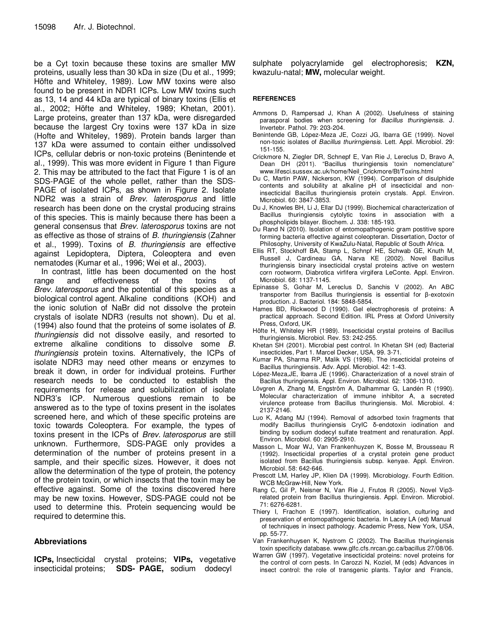be a Cyt toxin because these toxins are smaller MW proteins, usually less than 30 kDa in size (Du et al., 1999; Höfte and Whiteley, 1989). Low MW toxins were also found to be present in NDR1 ICPs. Low MW toxins such as 13, 14 and 44 kDa are typical of binary toxins (Ellis et al., 2002; Höfte and Whiteley, 1989; Khetan, 2001). Large proteins, greater than 137 kDa, were disregarded because the largest Cry toxins were 137 kDa in size (Hofte and Whiteley, 1989). Protein bands larger than 137 kDa were assumed to contain either undissolved ICPs, cellular debris or non-toxic proteins (Benintende et al., 1999). This was more evident in Figure 1 than Figure 2. This may be attributed to the fact that Figure 1 is of an SDS-PAGE of the whole pellet, rather than the SDS-PAGE of isolated ICPs, as shown in Figure 2. Isolate NDR2 was a strain of Brev. laterosporus and little research has been done on the crystal producing strains of this species. This is mainly because there has been a general consensus that Brev. laterosporus toxins are not as effective as those of strains of B. thuringiensis (Zahner et al., 1999). Toxins of B. thuringiensis are effective against Lepidoptera, Diptera, Coleoptera and even nematodes (Kumar et al., 1996; Wei et al., 2003).

In contrast, little has been documented on the host range and effectiveness of the toxins of Brev. laterosporus and the potential of this species as a biological control agent. Alkaline conditions (KOH) and the ionic solution of NaBr did not dissolve the protein crystals of isolate NDR3 (results not shown). Du et al. (1994) also found that the proteins of some isolates of B. thuringiensis did not dissolve easily, and resorted to extreme alkaline conditions to dissolve some B. thuringiensis protein toxins. Alternatively, the ICPs of isolate NDR3 may need other means or enzymes to break it down, in order for individual proteins. Further research needs to be conducted to establish the requirements for release and solubilization of isolate NDR3's ICP. Numerous questions remain to be answered as to the type of toxins present in the isolates screened here, and which of these specific proteins are toxic towards Coleoptera. For example, the types of toxins present in the ICPs of Brev. laterosporus are still unknown. Furthermore, SDS-PAGE only provides a determination of the number of proteins present in a sample, and their specific sizes. However, it does not allow the determination of the type of protein, the potency of the protein toxin, or which insects that the toxin may be effective against. Some of the toxins discovered here may be new toxins. However, SDS-PAGE could not be used to determine this. Protein sequencing would be required to determine this.

# **Abbreviations**

**ICPs,** Insecticidal crystal proteins; **VIPs,** vegetative insecticidal proteins; **SDS- PAGE,** sodium dodecyl

sulphate polyacrylamide gel electrophoresis; **KZN,**  kwazulu-natal; **MW,** molecular weight.

#### **REFERENCES**

- Ammons D, Rampersad J, Khan A (2002). Usefulness of staining parasporal bodies when screening for Bacillus thuringiensis. J. Invertebr. Pathol. 79: 203-204.
- Benintende GB, López-Meza JE, Cozzi JG, Ibarra GE (1999). Novel non-toxic isolates of Bacillus thurirngiensis. Lett. Appl. Microbiol. 29: 151-155.
- Crickmore N, Ziegler DR, Schnepf E, Van Rie J, Lereclus D, Bravo A, Dean DH (2011). "Bacillus thuringiensis toxin nomenclature" www.lifesci.sussex.ac.uk/home/Neil\_Crickmore/Bt/Toxins.html
- Du C, Martin PAW, Nickerson, KW (1994). Comparison of disulphide contents and solubility at alkaline pH of insecticidal and noninsecticidal Bacillus thuringiensis protein crystals. Appl. Environ. Microbiol. 60: 3847-3853.
- Du J, Knowles BH, Li J, Ellar DJ (1999). Biochemical characterization of Bacillus thuringiensis cytolytic toxins in association with a phospholipids bilayer. Biochem. J. 338: 185-193.
- Du Rand N (2010). Isolation of entomopathogenic gram postitive spore forming bacteria effective against coleopteran. Dissertation, Doctor of Philosophy, University of KwaZulu-Natal, Republic of South Africa.
- Ellis RT, Stockhoff BA, Stamp L, Schnpf HE, Schwab GE, Knuth M, Russell J, Cardineau GA, Narva KE (2002). Novel Bacillus thuringiensis binary insecticidal crystal proteins active on western corn rootworm, Diabrotica virfifera virgifera LeConte. Appl. Environ. Microbiol. 68: 1137-1145.
- Epinasse S, Gohar M, Lereclus D, Sanchis V (2002). An ABC transporter from Bacillus thuringiensis is essential for β-exotoxin production. J. Bacteriol. 184: 5848-5854.
- Hames BD, Rickwood D (1990). Gel electrophoresis of proteins: A practical approach. Second Edition. IRL Press at Oxford University Press, Oxford, UK.
- Höfte H, Whiteley HR (1989). Insecticidal crystal proteins of Bacillus thuringiensis. Microbiol. Rev. 53: 242-255.
- Khetan SH (2001). Microbial pest control. In Khetan SH (ed) Bacterial insecticides, Part 1. Marcel Decker, USA, 99. 3-71.
- Kumar PA, Sharma RP, Malik VS (1996). The insecticidal proteins of Bacillus thuringiensis. Adv. Appl. Microbiol. 42: 1-43.
- López-Meza,JE, Ibarra JE (1996). Characterization of a novel strain of Bacillus thuringiensis. Appl. Environ. Microbiol. 62: 1306-1310.
- Lövgren A, Zhang M, Engström A, Dalhammar G, Landén R (1990). Molecular characterization of immune inhibitor A, a secreted virulence protease from Bacillus thuringiensis. Mol. Microbiol. 4: 2137-2146.
- Luo K, Adang MJ (1994). Removal of adsorbed toxin fragments that modify Bacillus thuringiensis CryIC δ-endotoxin iodination and binding by sodium dodecyl sulfate treatment and renaturation. Appl. Environ. Microbiol. 60: 2905-2910.
- Masson L, Moar WJ, Van Frankenhuyzen K, Bosse M, Brousseau R (1992). Insecticidal properties of a crystal protein gene product isolated from Bacillus thuringiensis subsp. kenyae. Appl. Environ. Microbiol. 58: 642-646.
- Prescott LM, Harley JP, Klien DA (1999). Microbiology. Fourth Edition. WCB McGraw-Hill, New York.
- Rang C, Gil P, Neisner N, Van Rie J, Frutos R (2005). Novel Vip3 related protein from Bacillus thuringiensis. Appl. Environ. Microbiol. 71: 6276-6281.
- Thiery I, Frachon E (1997). Identification, isolation, culturing and preservation of entomopathogenic bacteria. In Lacey LA (ed) Manual of techniques in insect pathology. Academic Press, New York, USA, pp. 55-77.
- Van Frankenhuysen K, Nystrom C (2002). The Bacillus thuringiensis toxin specificity database. www.glfc.cfs.nrcan.gc.ca/bacillus 27/08/06.
- Warren GW (1997). Vegetative insecticidal proteins: novel proteins for the control of corn pests. In Carozzi N, Koziel, M (eds) Advances in insect control: the role of transgenic plants. Taylor and Francis,